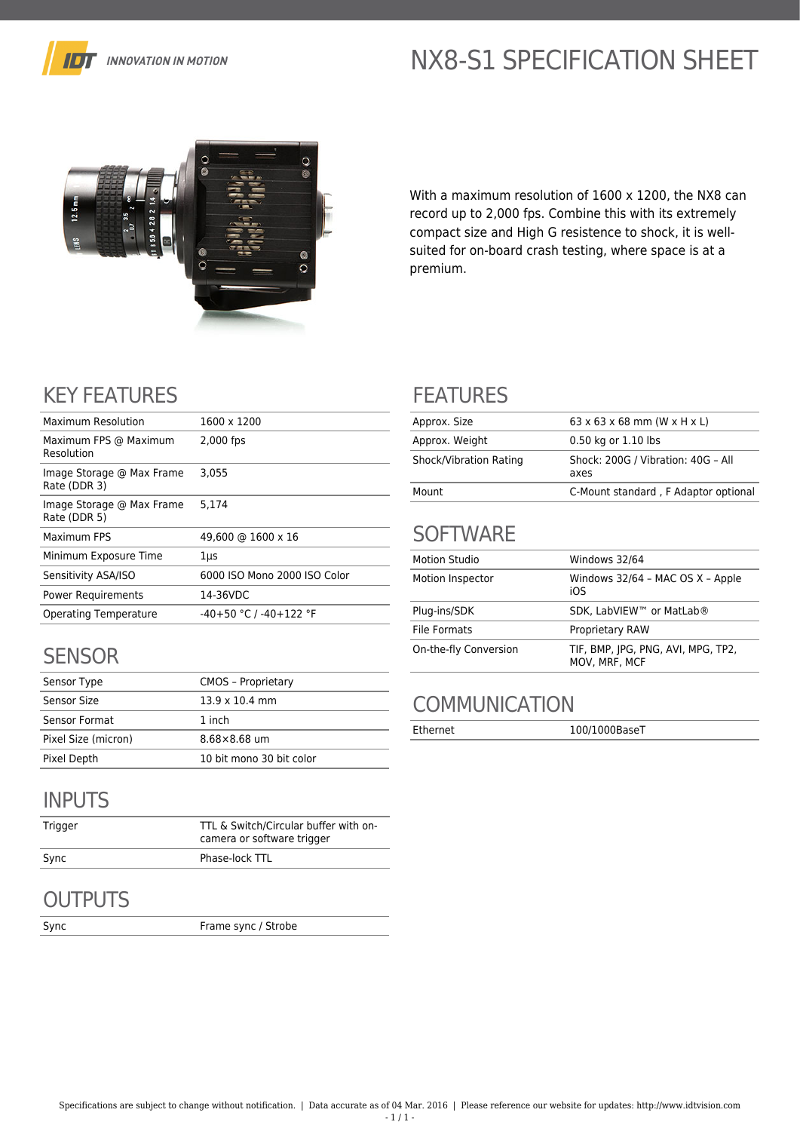

# NX8-S1 SPECIFICATION SHEET



With a maximum resolution of 1600 x 1200, the NX8 can record up to 2,000 fps. Combine this with its extremely compact size and High G resistence to shock, it is wellsuited for on-board crash testing, where space is at a premium.

## KEY FEATURES

| Maximum Resolution                        | 1600 x 1200                  |
|-------------------------------------------|------------------------------|
| Maximum FPS @ Maximum<br>Resolution       | 2,000 fps                    |
| Image Storage @ Max Frame<br>Rate (DDR 3) | 3.055                        |
| Image Storage @ Max Frame<br>Rate (DDR 5) | 5.174                        |
| Maximum FPS                               | 49,600 @ 1600 x 16           |
| Minimum Exposure Time                     | 1μs                          |
| Sensitivity ASA/ISO                       | 6000 ISO Mono 2000 ISO Color |
| <b>Power Requirements</b>                 | 14-36VDC                     |
| Operating Temperature                     | $-40+50$ °C / $-40+122$ °F   |

#### **SENSOR**

| Sensor Type         | <b>CMOS - Proprietary</b> |
|---------------------|---------------------------|
| Sensor Size         | $13.9 \times 10.4$ mm     |
| Sensor Format       | 1 inch                    |
| Pixel Size (micron) | $8.68 \times 8.68$ um     |
| Pixel Depth         | 10 bit mono 30 bit color  |

### INPUTS

| Trigger | TTL & Switch/Circular buffer with on-<br>camera or software trigger |
|---------|---------------------------------------------------------------------|
| Sync    | Phase-lock TTL                                                      |

## **OUTPUTS**

Sync Frame sync / Strobe

### FEATURES

| Approx. Size           | $63 \times 63 \times 68$ mm (W $\times$ H $\times$ L) |
|------------------------|-------------------------------------------------------|
| Approx. Weight         | 0.50 kg or 1.10 lbs                                   |
| Shock/Vibration Rating | Shock: 200G / Vibration: 40G - All<br>axes            |
| Mount                  | C-Mount standard, F Adaptor optional                  |

## **SOFTWARE**

| <b>Motion Studio</b>  | Windows 32/64                                       |
|-----------------------|-----------------------------------------------------|
| Motion Inspector      | Windows 32/64 - MAC OS X - Apple<br>iOS             |
| Plug-ins/SDK          | SDK, LabVIEW™ or MatLab®                            |
| File Formats          | <b>Proprietary RAW</b>                              |
| On-the-fly Conversion | TIF, BMP, JPG, PNG, AVI, MPG, TP2,<br>MOV, MRF, MCF |

## **COMMUNICATION**

Ethernet 100/1000BaseT